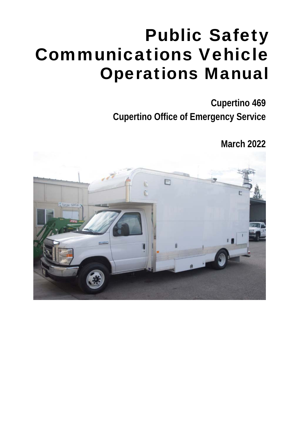# Public Safety Communications Vehicle Operations Manual

**Cupertino 469 Cupertino Office of Emergency Service** 

**March 2022** 

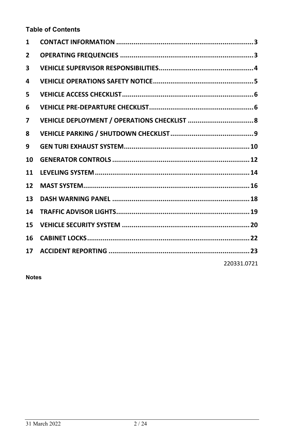**Table of Contents** 

| 1            |             |
|--------------|-------------|
| $\mathbf{2}$ |             |
| 3            |             |
| 4            |             |
| 5            |             |
| 6            |             |
| 7            |             |
| 8            |             |
| 9            |             |
| 10           |             |
| 11           |             |
| 12           |             |
| 13           |             |
| 14           |             |
| 15           |             |
| 16           |             |
| 17           |             |
|              | 220331.0721 |

**Notes**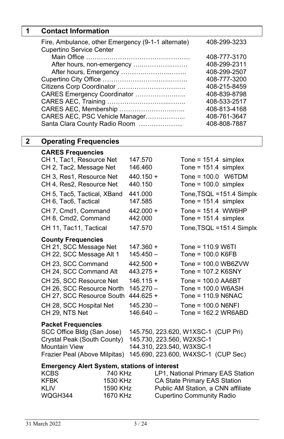# **1 Contact Information**

| Fire, Ambulance, other Emergency (9-1-1 alternate)<br><b>Cupertino Service Center</b> | 408-299-3233 |
|---------------------------------------------------------------------------------------|--------------|
|                                                                                       | 408-777-3170 |
| After hours, non-emergency                                                            | 408-299-2311 |
| After hours, Emergency                                                                | 408-299-2507 |
|                                                                                       | 408-777-3200 |
|                                                                                       | 408-215-8459 |
| CARES Emergency Coordinator                                                           | 408-839-8798 |
|                                                                                       | 408-533-2517 |
| CARES AEC, Membership                                                                 | 408-813-4168 |
| CARES AEC, PSC Vehicle Manager                                                        | 408-761-3647 |
| Santa Clara County Radio Room                                                         | 408-808-7887 |

# **2 Operating Frequencies**

#### **CARES Frequencies**

| CH 1, Tac1, Resource Net<br>CH 2, Tac2, Message Net  | 147.570<br>146.460         |                                     | Tone = $151.4$ simplex<br>Tone = $151.4$ simplex    |
|------------------------------------------------------|----------------------------|-------------------------------------|-----------------------------------------------------|
| CH 3, Res1, Resource Net<br>CH 4, Res2, Resource Net | $440.150 +$<br>440.150     |                                     | Tone = $100.0$ W6TDM<br>Tone = $100.0$ simplex      |
| CH 5, Tac5, Tactical, XBand<br>CH 6, Tac6, Tactical  | 441.000<br>147.585         |                                     | Tone, TSQL = 151.4 Simplx<br>Tone = $151.4$ simplex |
| CH 7, Cmd1, Command<br>CH 8, Cmd2, Command           | $442.000 +$<br>442.000     |                                     | Tone = $151.4$ WW6HP<br>Tone = $151.4$ simplex      |
| CH 11, Tac11, Tactical                               | 147.570                    |                                     | Tone, TSQL = 151.4 Simplx                           |
| <b>County Frequencies</b>                            |                            |                                     |                                                     |
| CH 21, SCC Message Net                               | 147.360 +                  | $Tone = 110.9 W6T1$                 |                                                     |
| CH 22, SCC Message Alt 1                             | $145.450 -$                | Tone = $100.0$ K6FB                 |                                                     |
| CH 23, SCC Command<br>CH 24, SCC Command Alt         | $442.500 +$<br>$443.275 +$ | Tone = 107.2 K6SNY                  | Tone = $100.0$ WB6ZVW                               |
| CH 25. SCC Resource Net                              | $146.115 +$                | Tone = $100.0$ AA6BT                |                                                     |
| CH 26, SCC Resource North                            | $145.270 -$                | Tone = 100.0 W6ASH                  |                                                     |
| CH 27, SCC Resource South                            | $444.625 +$                | Tone = $110.9$ N6NAC                |                                                     |
| CH 28, SCC Hospital Net                              | $145.230 -$                | Tone = $100.0$ N6NFI                |                                                     |
| CH 29. NTS Net                                       | $146.640 -$                |                                     | Tone = $162.2$ WR6ABD                               |
| <b>Packet Frequencies</b>                            |                            |                                     |                                                     |
| SCC Office Bldg (San Jose)                           |                            | 145.750, 223.620, W1XSC-1 (CUP Pri) |                                                     |
| Crystal Peak (South County)                          |                            | 145.730, 223.560, W2XSC-1           |                                                     |
| <b>Mountain View</b>                                 |                            | 144.310, 223.540, W3XSC-1           |                                                     |
| Frazier Peal (Above Milpitas)                        |                            | 145.690, 223.600, W4XSC-1 (CUP Sec) |                                                     |
| <b>Emergency Alert System, stations of interest</b>  |                            |                                     |                                                     |
| <b>KCBS</b>                                          | 740 KHz                    | LP1, National Primary EAS Station   |                                                     |
| <b>KFBK</b>                                          | 1530 KHz                   | CA State Primary EAS Station        |                                                     |
| KLIV                                                 | 1590 KHz                   | Public AM Station, a CNN affiliate  |                                                     |

KLIV 1590 KHz Public AM Station, a CNN affiliate<br>
WQGH344 1670 KHz Cupertino Community Radio

1670 KHz Cupertino Community Radio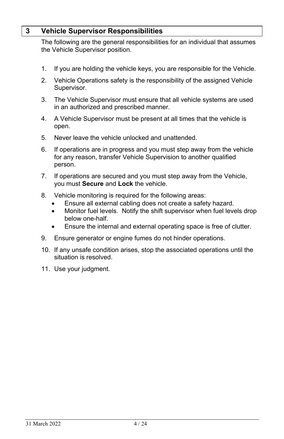## **3 Vehicle Supervisor Responsibilities**

The following are the general responsibilities for an individual that assumes the Vehicle Supervisor position.

- 1. If you are holding the vehicle keys, you are responsible for the Vehicle.
- 2. Vehicle Operations safety is the responsibility of the assigned Vehicle Supervisor.
- 3. The Vehicle Supervisor must ensure that all vehicle systems are used in an authorized and prescribed manner.
- 4. A Vehicle Supervisor must be present at all times that the vehicle is open.
- 5. Never leave the vehicle unlocked and unattended.
- 6. If operations are in progress and you must step away from the vehicle for any reason, transfer Vehicle Supervision to another qualified person.
- 7. If operations are secured and you must step away from the Vehicle, you must **Secure** and **Lock** the vehicle.
- 8. Vehicle monitoring is required for the following areas:
	- Ensure all external cabling does not create a safety hazard.
	- Monitor fuel levels. Notify the shift supervisor when fuel levels drop below one-half.
	- Ensure the internal and external operating space is free of clutter.
- 9. Ensure generator or engine fumes do not hinder operations.
- 10. If any unsafe condition arises, stop the associated operations until the situation is resolved.
- 11. Use your judgment.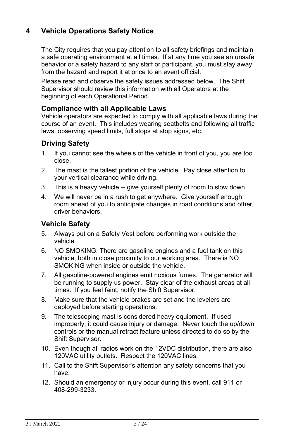## **4 Vehicle Operations Safety Notice**

The City requires that you pay attention to all safety briefings and maintain a safe operating environment at all times. If at any time you see an unsafe behavior or a safety hazard to any staff or participant, you must stay away from the hazard and report it at once to an event official.

Please read and observe the safety issues addressed below. The Shift Supervisor should review this information with all Operators at the beginning of each Operational Period.

#### **Compliance with all Applicable Laws**

Vehicle operators are expected to comply with all applicable laws during the course of an event. This includes wearing seatbelts and following all traffic laws, observing speed limits, full stops at stop signs, etc.

# **Driving Safety**

- 1. If you cannot see the wheels of the vehicle in front of you, you are too close.
- 2. The mast is the tallest portion of the vehicle. Pay close attention to your vertical clearance while driving.
- 3. This is a heavy vehicle -- give yourself plenty of room to slow down.
- 4. We will never be in a rush to get anywhere. Give yourself enough room ahead of you to anticipate changes in road conditions and other driver behaviors.

## **Vehicle Safety**

- 5. Always put on a Safety Vest before performing work outside the vehicle.
- 6. NO SMOKING: There are gasoline engines and a fuel tank on this vehicle, both in close proximity to our working area. There is NO SMOKING when inside or outside the vehicle.
- 7. All gasoline-powered engines emit noxious fumes. The generator will be running to supply us power. Stay clear of the exhaust areas at all times. If you feel faint, notify the Shift Supervisor.
- 8. Make sure that the vehicle brakes are set and the levelers are deployed before starting operations.
- 9. The telescoping mast is considered heavy equipment. If used improperly, it could cause injury or damage. Never touch the up/down controls or the manual retract feature unless directed to do so by the Shift Supervisor.
- 10. Even though all radios work on the 12VDC distribution, there are also 120VAC utility outlets. Respect the 120VAC lines.
- 11. Call to the Shift Supervisor's attention any safety concerns that you have.
- 12. Should an emergency or injury occur during this event, call 911 or 408-299-3233.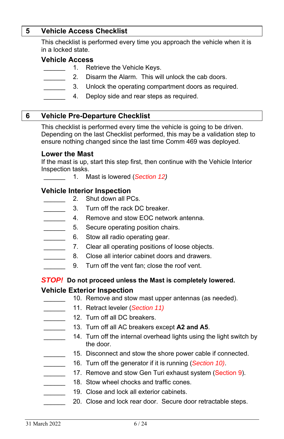## **5 Vehicle Access Checklist**

This checklist is performed every time you approach the vehicle when it is in a locked state.

## **Vehicle Access**

- 1. Retrieve the Vehicle Keys.
- 2. Disarm the Alarm. This will unlock the cab doors.
- 3. Unlock the operating compartment doors as required.
- 4. Deploy side and rear steps as required.

#### **6 Vehicle Pre-Departure Checklist**

This checklist is performed every time the vehicle is going to be driven. Depending on the last Checklist performed, this may be a validation step to ensure nothing changed since the last time Comm 469 was deployed.

#### **Lower the Mast**

If the mast is up, start this step first, then continue with the Vehicle Interior Inspection tasks.

\_\_\_\_\_\_ 1. Mast is lowered (*Section 12)*

#### **Vehicle Interior Inspection**

- 2. Shut down all PCs.
- \_\_\_\_\_\_ 3. Turn off the rack DC breaker.
- 4. Remove and stow EOC network antenna.
- 5. Secure operating position chairs.
- 6. Stow all radio operating gear.
- 7. Clear all operating positions of loose objects.
	- 8. Close all interior cabinet doors and drawers.
	- 9. Turn off the vent fan; close the roof vent.

## *STOP!* **Do not proceed unless the Mast is completely lowered. Vehicle Exterior Inspection**

- 10. Remove and stow mast upper antennas (as needed).
- \_\_\_\_\_\_ 11. Retract leveler (*Section 11)*
- 12. Turn off all DC breakers.
	- 13. Turn off all AC breakers except A2 and A5.
- 14. Turn off the internal overhead lights using the light switch by the door.
	- 15. Disconnect and stow the shore power cable if connected.
		- \_\_\_\_\_\_ 16. Turn off the generator if it is running (*Section 10)*.
	- 17. Remove and stow Gen Turi exhaust system (Section 9).
	- 18. Stow wheel chocks and traffic cones.
- 19. Close and lock all exterior cabinets.
	- 20. Close and lock rear door. Secure door retractable steps.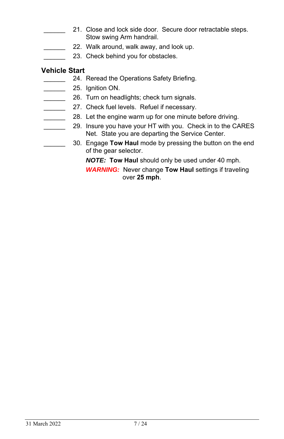- 21. Close and lock side door. Secure door retractable steps. Stow swing Arm handrail.
	- 22. Walk around, walk away, and look up.
	- 23. Check behind you for obstacles.

# **Vehicle Start**

- 24. Reread the Operations Safety Briefing.
- 25. Ignition ON.
- 26. Turn on headlights; check turn signals.
- **27.** Check fuel levels. Refuel if necessary.
	- 28. Let the engine warm up for one minute before driving.
		- 29. Insure you have your HT with you. Check in to the CARES Net. State you are departing the Service Center.
	- \_\_\_\_\_\_ 30. Engage **Tow Haul** mode by pressing the button on the end of the gear selector.

*NOTE:* **Tow Haul** should only be used under 40 mph.

*WARNING:* Never change **Tow Haul** settings if traveling over **25 mph**.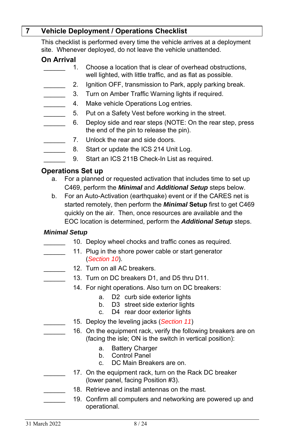# **7 Vehicle Deployment / Operations Checklist**

This checklist is performed every time the vehicle arrives at a deployment site. Whenever deployed, do not leave the vehicle unattended.

## **On Arrival**

- 1. Choose a location that is clear of overhead obstructions, well lighted, with little traffic, and as flat as possible.
	- 2. Ignition OFF, transmission to Park, apply parking break.
- 3. Turn on Amber Traffic Warning lights if required.
- 4. Make vehicle Operations Log entries.
- 5. Put on a Safety Vest before working in the street.
- 6. Deploy side and rear steps (NOTE: On the rear step, press the end of the pin to release the pin).
	- 7. Unlock the rear and side doors.
		- 8. Start or update the ICS 214 Unit Log.
	- 9. Start an ICS 211B Check-In List as required.

# **Operations Set up**

- a. For a planned or requested activation that includes time to set up C469, perform the *Minimal* and *Additional Setup* steps below.
- b. For an Auto-Activation (earthquake) event or if the CARES net is started remotely, then perform the *Minimal* **Setup** first to get C469 quickly on the air. Then, once resources are available and the EOC location is determined, perform the *Additional Setup* steps.

#### *Minimal Setup*

- 10. Deploy wheel chocks and traffic cones as required.
- 11. Plug in the shore power cable or start generator (*Section 10*).
- 12. Turn on all AC breakers.
	- 13. Turn on DC breakers D1, and D5 thru D11.
		- 14. For night operations. Also turn on DC breakers:
			- a. D2 curb side exterior lights
			- b. D3 street side exterior lights
			- c. D4 rear door exterior lights
- \_\_\_\_\_\_ 15. Deploy the leveling jacks (*Section 11*)
	- 16. On the equipment rack, verify the following breakers are on (facing the isle; ON is the switch in vertical position):
		- a. Battery Charger
		- b. Control Panel
		- c. DC Main Breakers are on.
- 17. On the equipment rack, turn on the Rack DC breaker (lower panel, facing Position #3).
- \_\_\_\_\_\_ 18. Retrieve and install antennas on the mast*.*
- 19. Confirm all computers and networking are powered up and operational.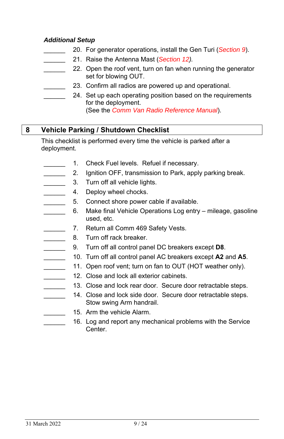#### *Additional Setup*

- \_\_\_\_\_\_ 20. For generator operations, install the Gen Turi (*Section 9*).
- \_\_\_\_\_\_ 21. Raise the Antenna Mast (*Section 12).*
	- 22. Open the roof vent, turn on fan when running the generator set for blowing OUT.
	- 23. Confirm all radios are powered up and operational.
- 24. Set up each operating position based on the requirements for the deployment.

(See the *Comm Van Radio Reference Manual*).

# **8 Vehicle Parking / Shutdown Checklist**

This checklist is performed every time the vehicle is parked after a deployment.

- 1. Check Fuel levels. Refuel if necessary.
- 2. Ignition OFF, transmission to Park, apply parking break.
- 3. Turn off all vehicle lights.
- 4. Deploy wheel chocks.
- 5. Connect shore power cable if available.
- 6. Make final Vehicle Operations Log entry mileage, gasoline used, etc.
- 7. Return all Comm 469 Safety Vests.
- 8. Turn off rack breaker.
- \_\_\_\_\_\_ 9. Turn off all control panel DC breakers except **D8**.
- \_\_\_\_\_\_ 10. Turn off all control panel AC breakers except **A2** and **A5**.
- 11. Open roof vent; turn on fan to OUT (HOT weather only).
- 12. Close and lock all exterior cabinets.
	- 13. Close and lock rear door. Secure door retractable steps.
	- 14. Close and lock side door. Secure door retractable steps. Stow swing Arm handrail.
		- 15. Arm the vehicle Alarm.
		- 16. Log and report any mechanical problems with the Service Center.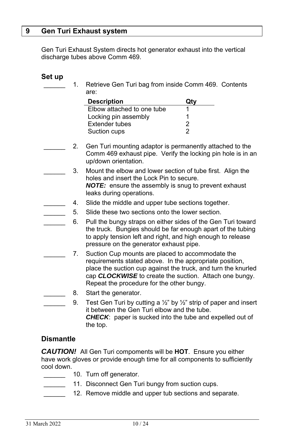#### **9 Gen Turi Exhaust system**

Gen Turi Exhaust System directs hot generator exhaust into the vertical discharge tubes above Comm 469.

#### **Set up**

1. Retrieve Gen Turi bag from inside Comm 469. Contents are:

| <b>Description</b>         |   |
|----------------------------|---|
| Elbow attached to one tube |   |
| Locking pin assembly       |   |
| <b>Extender tubes</b>      | 2 |
| Suction cups               |   |

- 2. Gen Turi mounting adaptor is permanently attached to the Comm 469 exhaust pipe. Verify the locking pin hole is in an up/down orientation.
	- 3. Mount the elbow and lower section of tube first. Align the holes and insert the Lock Pin to secure. *NOTE:* ensure the assembly is snug to prevent exhaust leaks during operations.
	- 4. Slide the middle and upper tube sections together.
	- 5. Slide these two sections onto the lower section.
	- 6. Pull the bungy straps on either sides of the Gen Turi toward the truck. Bungies should be far enough apart of the tubing to apply tension left and right, and high enough to release pressure on the generator exhaust pipe.
- 7. Suction Cup mounts are placed to accommodate the requirements stated above. In the appropriate position, place the suction cup against the truck, and turn the knurled cap *CLOCKWISE* to create the suction. Attach one bungy. Repeat the procedure for the other bungy.
- 8. Start the generator.
- 9. Test Gen Turi by cutting a  $\frac{1}{2}$ " by  $\frac{1}{2}$ " strip of paper and insert it between the Gen Turi elbow and the tube. *CHECK*: paper is sucked into the tube and expelled out of the top.

## **Dismantle**

*CAUTION!* All Gen Turi compoments will be **HOT**. Ensure you either have work gloves or provide enough time for all components to sufficiently cool down.

- 10. Turn off generator.
	- 11. Disconnect Gen Turi bungy from suction cups.
	- 12. Remove middle and upper tub sections and separate.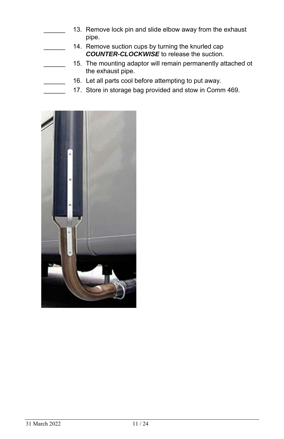- 13. Remove lock pin and slide elbow away from the exhaust pipe.
	- 14. Remove suction cups by turning the knurled cap *COUNTER-CLOCKWISE* to release the suction.
	- 15. The mounting adaptor will remain permanently attached ot the exhaust pipe.
	- 16. Let all parts cool before attempting to put away.
- 17. Store in storage bag provided and stow in Comm 469.

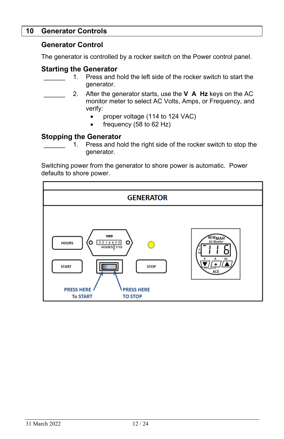## **10 Generator Controls**

#### **Generator Control**

The generator is controlled by a rocker switch on the Power control panel.

#### **Starting the Generator**

- 1. Press and hold the left side of the rocker switch to start the generator.
- \_\_\_\_\_\_ 2. After the generator starts, use the **V A Hz** keys on the AC monitor meter to select AC Volts, Amps, or Frequency, and verify:
	- proper voltage (114 to 124 VAC)
	- frequency (58 to 62 Hz)

#### **Stopping the Generator**

1. Press and hold the right side of the rocker switch to stop the generator.

Switching power from the generator to shore power is automatic. Power defaults to shore power.

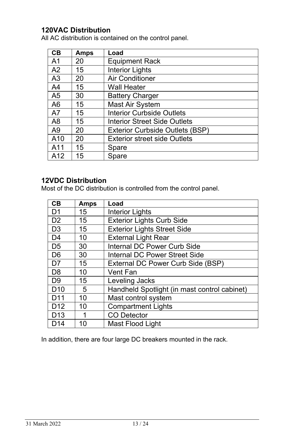# **120VAC Distribution**

All AC distribution is contained on the control panel.

| CB             | <b>Amps</b> | Load                                |
|----------------|-------------|-------------------------------------|
| A1             | 20          | <b>Equipment Rack</b>               |
| A <sub>2</sub> | 15          | <b>Interior Lights</b>              |
| A <sub>3</sub> | 20          | Air Conditioner                     |
| A4             | 15          | Wall Heater                         |
| A5             | 30          | <b>Battery Charger</b>              |
| A6             | 15          | Mast Air System                     |
| A7             | 15          | <b>Interior Curbside Outlets</b>    |
| A8             | 15          | <b>Interior Street Side Outlets</b> |
| A9             | 20          | Exterior Curbside Outlets (BSP)     |
| A10            | 20          | <b>Exterior street side Outlets</b> |
| A11            | 15          | Spare                               |
| A12            | 15          | Spare                               |

# **12VDC Distribution**

Most of the DC distribution is controlled from the control panel.

| CB              | <b>Amps</b> | Load                                         |
|-----------------|-------------|----------------------------------------------|
| D <sub>1</sub>  | 15          | Interior Lights                              |
| D <sub>2</sub>  | 15          | <b>Exterior Lights Curb Side</b>             |
| D <sub>3</sub>  | 15          | <b>Exterior Lights Street Side</b>           |
| D <sub>4</sub>  | 10          | <b>External Light Rear</b>                   |
| D <sub>5</sub>  | 30          | Internal DC Power Curb Side                  |
| D <sub>6</sub>  | 30          | Internal DC Power Street Side                |
| D7              | 15          | External DC Power Curb Side (BSP)            |
| D <sub>8</sub>  | 10          | Vent Fan                                     |
| D <sub>9</sub>  | 15          | Leveling Jacks                               |
| D <sub>10</sub> | 5           | Handheld Spotlight (in mast control cabinet) |
| D <sub>11</sub> | 10          | Mast control system                          |
| D <sub>12</sub> | 10          | <b>Compartment Lights</b>                    |
| D <sub>13</sub> |             | <b>CO Detector</b>                           |
| D <sub>14</sub> | 10          | Mast Flood Light                             |

In addition, there are four large DC breakers mounted in the rack.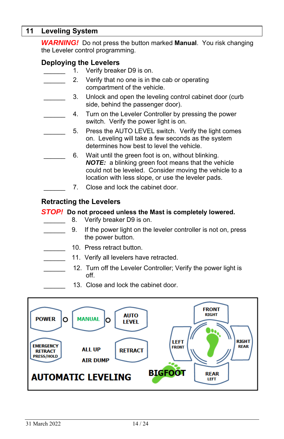## **11 Leveling System**

*WARNING!* Do not press the button marked **Manual**. You risk changing the Leveler control programming.

## **Deploying the Levelers**

1. Verify breaker D9 is on.

- 2. Verify that no one is in the cab or operating compartment of the vehicle.
	- 3. Unlock and open the leveling control cabinet door (curb side, behind the passenger door).
	- 4. Turn on the Leveler Controller by pressing the power switch. Verify the power light is on.
	- 5. Press the AUTO LEVEL switch. Verify the light comes on. Leveling will take a few seconds as the system determines how best to level the vehicle.
	- 6. Wait until the green foot is on, without blinking. *NOTE:* a blinking green foot means that the vehicle could not be leveled. Consider moving the vehicle to a location with less slope, or use the leveler pads.
		- \_\_\_\_\_\_ 7. Close and lock the cabinet door.

## **Retracting the Levelers**

#### *STOP!* **Do not proceed unless the Mast is completely lowered.**

- 8. Verify breaker D9 is on.
- \_\_\_\_\_\_ 9. If the power light on the leveler controller is not on, press the power button.
- 10. Press retract button.
	- 11. Verify all levelers have retracted.
	- 12. Turn off the Leveler Controller; Verify the power light is off.
		- 13. Close and lock the cabinet door.

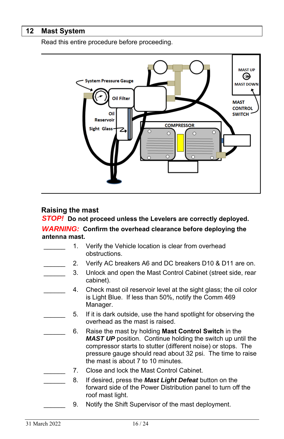## **12 Mast System**

Read this entire procedure before proceeding.



## **Raising the mast**

*STOP!* **Do not proceed unless the Levelers are correctly deployed.**  *WARNING:* **Confirm the overhead clearance before deploying the antenna mast.**

- 1. Verify the Vehicle location is clear from overhead obstructions.
- 2. Verify AC breakers A6 and DC breakers D10 & D11 are on.
- 3. Unlock and open the Mast Control Cabinet (street side, rear cabinet).
- 4. Check mast oil reservoir level at the sight glass; the oil color is Light Blue. If less than 50%, notify the Comm 469 Manager.
	- 5. If it is dark outside, use the hand spotlight for observing the overhead as the mast is raised.
		- \_\_\_\_\_\_ 6. Raise the mast by holding **Mast Control Switch** in the *MAST UP* position. Continue holding the switch up until the compressor starts to stutter (different noise) or stops. The pressure gauge should read about 32 psi. The time to raise the mast is about 7 to 10 minutes.
	- 7. Close and lock the Mast Control Cabinet.
- \_\_\_\_\_\_ 8. If desired, press the *Mast Light Defeat* button on the forward side of the Power Distribution panel to turn off the roof mast light.
	- 9. Notify the Shift Supervisor of the mast deployment.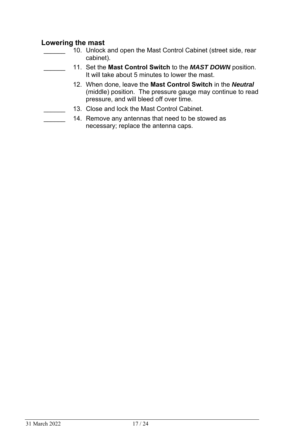# **Lowering the mast**

- 10. Unlock and open the Mast Control Cabinet (street side, rear cabinet).
	- \_\_\_\_\_\_ 11. Set the **Mast Control Switch** to the *MAST DOWN* position. It will take about 5 minutes to lower the mast.
		- 12. When done, leave the **Mast Control Switch** in the *Neutral* (middle) position. The pressure gauge may continue to read pressure, and will bleed off over time.
- 13. Close and lock the Mast Control Cabinet.
	- 14. Remove any antennas that need to be stowed as necessary; replace the antenna caps.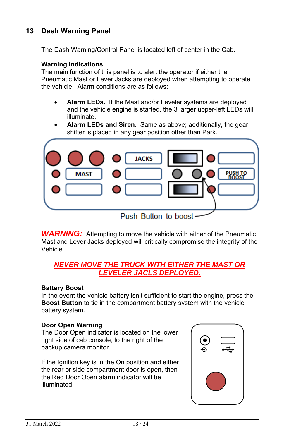#### **13 Dash Warning Panel**

The Dash Warning/Control Panel is located left of center in the Cab.

#### **Warning Indications**

The main function of this panel is to alert the operator if either the Pneumatic Mast or Lever Jacks are deployed when attempting to operate the vehicle. Alarm conditions are as follows:

- **Alarm LEDs.** If the Mast and/or Leveler systems are deployed and the vehicle engine is started, the 3 larger upper-left LEDs will illuminate.
- **Alarm LEDs and Siren**. Same as above; additionally, the gear shifter is placed in any gear position other than Park.



**WARNING:** Attempting to move the vehicle with either of the Pneumatic Mast and Lever Jacks deployed will critically compromise the integrity of the Vehicle.

## *NEVER MOVE THE TRUCK WITH EITHER THE MAST OR LEVELER JACLS DEPLOYED.*

#### **Battery Boost**

In the event the vehicle battery isn't sufficient to start the engine, press the **Boost Button** to tie in the compartment battery system with the vehicle battery system.

#### **Door Open Warning**

The Door Open indicator is located on the lower right side of cab console, to the right of the backup camera monitor.

If the Ignition key is in the On position and either the rear or side compartment door is open, then the Red Door Open alarm indicator will be illuminated.

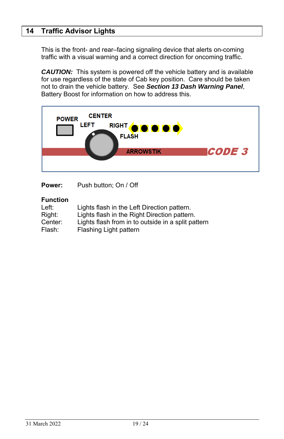# **14 Traffic Advisor Lights**

This is the front- and rear–facing signaling device that alerts on-coming traffic with a visual warning and a correct direction for oncoming traffic.

*CAUTION:* This system is powered off the vehicle battery and is available for use regardless of the state of Cab key position. Care should be taken not to drain the vehicle battery. See *Section 13 Dash Warning Panel*, Battery Boost for information on how to address this.



**Power:** Push button; On / Off

### **Function**

| Left:   | Lights flash in the Left Direction pattern.        |
|---------|----------------------------------------------------|
| Right:  | Lights flash in the Right Direction pattern.       |
| Center: | Lights flash from in to outside in a split pattern |
| Flash:  | Flashing Light pattern                             |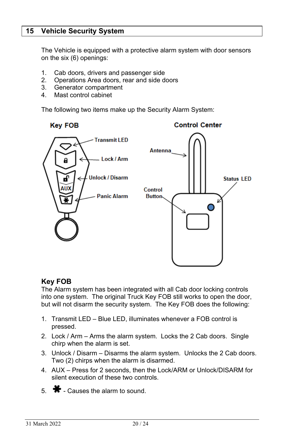## **15 Vehicle Security System**

The Vehicle is equipped with a protective alarm system with door sensors on the six (6) openings:

- 1. Cab doors, drivers and passenger side
- 2. Operations Area doors, rear and side doors
- 3. Generator compartment
- 4. Mast control cabinet

The following two items make up the Security Alarm System:



## **Key FOB**

The Alarm system has been integrated with all Cab door locking controls into one system. The original Truck Key FOB still works to open the door, but will not disarm the security system. The Key FOB does the following:

- 1. Transmit LED Blue LED, illuminates whenever a FOB control is pressed.
- 2. Lock / Arm Arms the alarm system. Locks the 2 Cab doors. Single chirp when the alarm is set.
- 3. Unlock / Disarm Disarms the alarm system. Unlocks the 2 Cab doors. Two (2) chirps when the alarm is disarmed.
- 4. AUX Press for 2 seconds, then the Lock/ARM or Unlock/DISARM for silent execution of these two controls.
- $5. \bullet$  Causes the alarm to sound.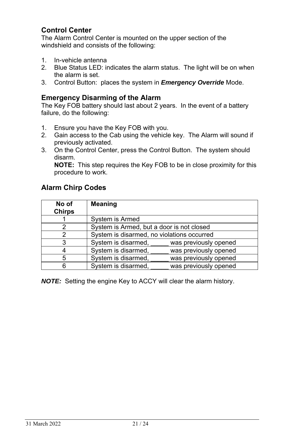# **Control Center**

The Alarm Control Center is mounted on the upper section of the windshield and consists of the following:

- 1. In-vehicle antenna
- 2. Blue Status LED: indicates the alarm status. The light will be on when the alarm is set.
- 3. Control Button: places the system in *Emergency Override* Mode.

#### **Emergency Disarming of the Alarm**

The Key FOB battery should last about 2 years. In the event of a battery failure, do the following:

- 1. Ensure you have the Key FOB with you.
- 2. Gain access to the Cab using the vehicle key. The Alarm will sound if previously activated.
- 3. On the Control Center, press the Control Button. The system should disarm.

**NOTE:** This step requires the Key FOB to be in close proximity for this procedure to work.

## **Alarm Chirp Codes**

| No of<br><b>Chirps</b> | <b>Meaning</b>                             |                       |
|------------------------|--------------------------------------------|-----------------------|
|                        | System is Armed                            |                       |
| 2                      | System is Armed, but a door is not closed  |                       |
| 2                      | System is disarmed, no violations occurred |                       |
| 3                      | System is disarmed,                        | was previously opened |
|                        | System is disarmed,                        | was previously opened |
| 5                      | System is disarmed,                        | was previously opened |
| 6                      | System is disarmed,                        | was previously opened |

*NOTE:* Setting the engine Key to ACCY will clear the alarm history.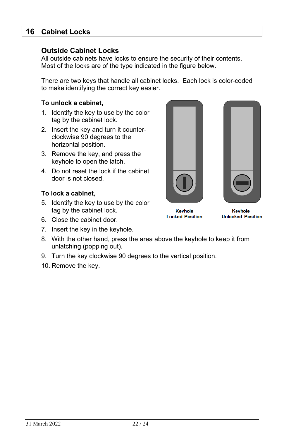## **16 Cabinet Locks**

#### **Outside Cabinet Locks**

All outside cabinets have locks to ensure the security of their contents. Most of the locks are of the type indicated in the figure below.

There are two keys that handle all cabinet locks. Each lock is color-coded to make identifying the correct key easier.

#### **To unlock a cabinet,**

- 1. Identify the key to use by the color tag by the cabinet lock.
- 2. Insert the key and turn it counterclockwise 90 degrees to the horizontal position.
- 3. Remove the key, and press the keyhole to open the latch.
- 4. Do not reset the lock if the cabinet door is not closed.

#### **To lock a cabinet,**

- 5. Identify the key to use by the color tag by the cabinet lock.
- 6. Close the cabinet door.
- 7. Insert the key in the keyhole.
- 8. With the other hand, press the area above the keyhole to keep it from unlatching (popping out).
- 9. Turn the key clockwise 90 degrees to the vertical position.
- 10. Remove the key.





Keyhole **Locked Position** 

**Keyhole Unlocked Position**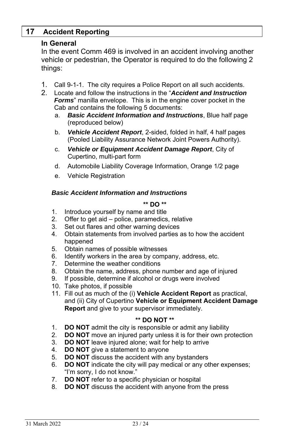# **17 Accident Reporting**

## **In General**

In the event Comm 469 is involved in an accident involving another vehicle or pedestrian, the Operator is required to do the following 2 things:

- 1. Call 9-1-1. The city requires a Police Report on all such accidents.
- 2. Locate and follow the instructions in the "*Accident and Instruction Forms*" manilla envelope. This is in the engine cover pocket in the Cab and contains the following 5 documents:
	- a. *Basic Accident Information and Instructions*, Blue half page (reproduced below)
	- b. *Vehicle Accident Report*, 2-sided, folded in half, 4 half pages (Pooled Liability Assurance Network Joint Powers Authority).
	- c. *Vehicle or Equipment Accident Damage Report*, City of Cupertino, multi-part form
	- d. Automobile Liability Coverage Information, Orange 1/2 page
	- e. Vehicle Registration

#### *Basic Accident Information and Instructions*

#### **\*\* DO \*\***

- 1. Introduce yourself by name and title
- 2. Offer to get aid police, paramedics, relative
- 3. Set out flares and other warning devices
- 4. Obtain statements from involved parties as to how the accident happened
- 5. Obtain names of possible witnesses
- 6. Identify workers in the area by company, address, etc.
- 7. Determine the weather conditions
- 8. Obtain the name, address, phone number and age of injured
- 9. If possible, determine if alcohol or drugs were involved
- 10. Take photos, if possible
- 11. Fill out as much of the (i) **Vehicle Accident Report** as practical, and (ii) City of Cupertino **Vehicle or Equipment Accident Damage Report** and give to your supervisor immediately.

#### **\*\* DO NOT \*\***

- 1. **DO NOT** admit the city is responsible or admit any liability
- 2. **DO NOT** move an injured party unless it is for their own protection
- 3. **DO NOT** leave injured alone; wait for help to arrive
- 4. **DO NOT** give a statement to anyone
- 5. **DO NOT** discuss the accident with any bystanders
- 6. **DO NOT** indicate the city will pay medical or any other expenses; "I'm sorry, I do not know."
- 7. **DO NOT** refer to a specific physician or hospital
- 8. **DO NOT** discuss the accident with anyone from the press